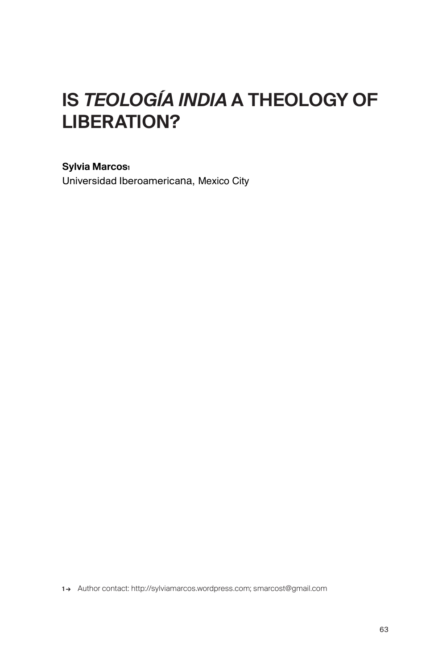# IS *TEOLOGÍA INDIA* A THEOLOGY OF LIBERATION?

## Sylvia Marcos<sup>1</sup>

Universidad Iberoamericana, Mexico City

1 → Author contact: http://sylviamarcos.wordpress.com; smarcost@gmail.com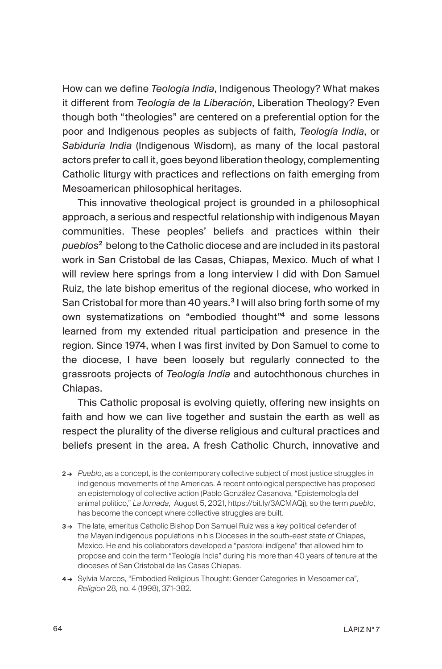How can we define *Teología India*, Indigenous Theology? What makes it different from *Teología de la Liberación*, Liberation Theology? Even though both "theologies" are centered on a preferential option for the poor and Indigenous peoples as subjects of faith, *Teología India*, or *Sabiduría India* (Indigenous Wisdom), as many of the local pastoral actors prefer to call it, goes beyond liberation theology, complementing Catholic liturgy with practices and reflections on faith emerging from Mesoamerican philosophical heritages.

This innovative theological project is grounded in a philosophical approach, a serious and respectful relationship with indigenous Mayan communities. These peoples' beliefs and practices within their *pueblos*<sup>2</sup> belong to the Catholic diocese and are included in its pastoral work in San Cristobal de las Casas, Chiapas, Mexico. Much of what I will review here springs from a long interview I did with Don Samuel Ruiz, the late bishop emeritus of the regional diocese, who worked in San Cristobal for more than 40 years.<sup>3</sup> I will also bring forth some of my own systematizations on "embodied thought"<sup>4</sup> and some lessons learned from my extended ritual participation and presence in the region. Since 1974, when I was first invited by Don Samuel to come to the diocese, I have been loosely but regularly connected to the grassroots projects of *Teología India* and autochthonous churches in Chiapas.

This Catholic proposal is evolving quietly, offering new insights on faith and how we can live together and sustain the earth as well as respect the plurality of the diverse religious and cultural practices and beliefs present in the area. A fresh Catholic Church, innovative and

- 2 → *Pueblo*, as a concept, is the contemporary collective subject of most justice struggles in indigenous movements of the Americas. A recent ontological perspective has proposed an epistemology of collective action (Pablo González Casanova, "Epistemología del animal político," *La Jornada*, August 5, 2021, https://bit.ly/3ACMAQj), so the term *pueblo*, has become the concept where collective struggles are built.
- 3 → The late, emeritus Catholic Bishop Don Samuel Ruiz was a key political defender of the Mayan indigenous populations in his Dioceses in the south-east state of Chiapas, Mexico. He and his collaborators developed a "pastoral indígena" that allowed him to propose and coin the term "Teología India" during his more than 40 years of tenure at the dioceses of San Cristobal de las Casas Chiapas.
- 4 → Sylvia Marcos, "Embodied Religious Thought: Gender Categories in Mesoamerica", *Religion* 28, no. 4 (1998), 371-382.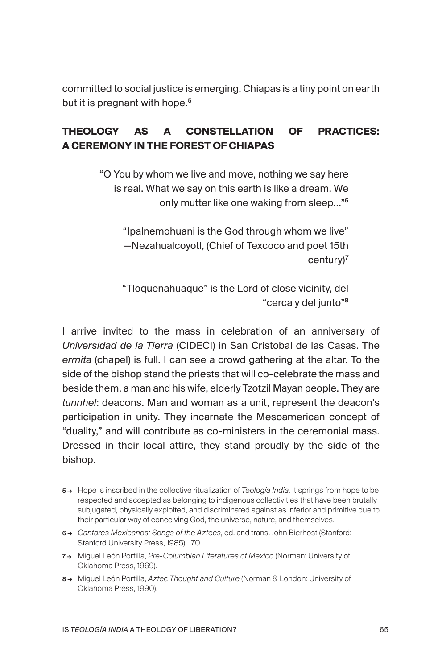committed to social justice is emerging. Chiapas is a tiny point on earth but it is pregnant with hope.<sup>5</sup>

## **THEOLOGY AS A CONSTELLATION OF PRACTICES: A CEREMONY IN THE FOREST OF CHIAPAS**

"O You by whom we live and move, nothing we say here is real. What we say on this earth is like a dream. We only mutter like one waking from sleep…"<sup>6</sup>

"Ipalnemohuani is the God through whom we live" —Nezahualcoyotl, (Chief of Texcoco and poet 15th century)<sup>7</sup>

"Tloquenahuaque" is the Lord of close vicinity, del "cerca y del junto"<sup>8</sup>

I arrive invited to the mass in celebration of an anniversary of *Universidad de la Tierra* (CIDECI) in San Cristobal de las Casas. The *ermita* (chapel) is full. I can see a crowd gathering at the altar. To the side of the bishop stand the priests that will co-celebrate the mass and beside them, a man and his wife, elderly Tzotzil Mayan people. They are *tunnhel*: deacons. Man and woman as a unit, represent the deacon's participation in unity. They incarnate the Mesoamerican concept of "duality," and will contribute as co-ministers in the ceremonial mass. Dressed in their local attire, they stand proudly by the side of the bishop.

- 5 → Hope is inscribed in the collective ritualization of *Teología India*. It springs from hope to be respected and accepted as belonging to indigenous collectivities that have been brutally subjugated, physically exploited, and discriminated against as inferior and primitive due to their particular way of conceiving God, the universe, nature, and themselves.
- 6 → *Cantares Mexicanos: Songs of the Aztecs*, ed. and trans. John Bierhost (Stanford: Stanford University Press, 1985), 170.
- 7 → Miguel León Portilla, *Pre-Columbian Literatures of Mexico* (Norman: University of Oklahoma Press, 1969).
- 8 → Miguel León Portilla, *Aztec Thought and Culture* (Norman & London: University of Oklahoma Press, 1990).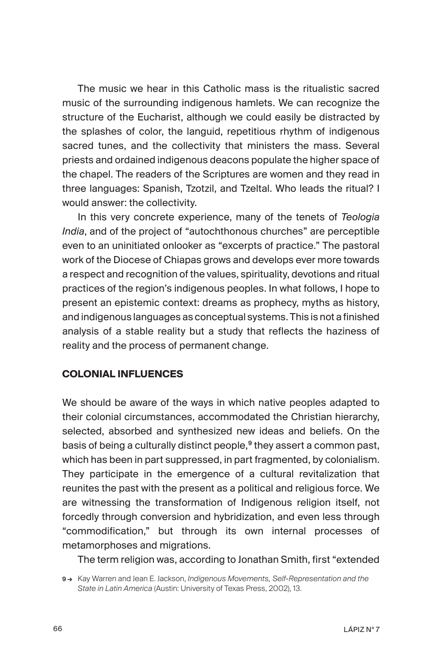The music we hear in this Catholic mass is the ritualistic sacred music of the surrounding indigenous hamlets. We can recognize the structure of the Eucharist, although we could easily be distracted by the splashes of color, the languid, repetitious rhythm of indigenous sacred tunes, and the collectivity that ministers the mass. Several priests and ordained indigenous deacons populate the higher space of the chapel. The readers of the Scriptures are women and they read in three languages: Spanish, Tzotzil, and Tzeltal. Who leads the ritual? I would answer: the collectivity.

In this very concrete experience, many of the tenets of *Teologia India*, and of the project of "autochthonous churches" are perceptible even to an uninitiated onlooker as "excerpts of practice." The pastoral work of the Diocese of Chiapas grows and develops ever more towards a respect and recognition of the values, spirituality, devotions and ritual practices of the region's indigenous peoples. In what follows, I hope to present an epistemic context: dreams as prophecy, myths as history, and indigenous languages as conceptual systems. This is not a finished analysis of a stable reality but a study that reflects the haziness of reality and the process of permanent change.

#### **COLONIAL INFLUENCES**

We should be aware of the ways in which native peoples adapted to their colonial circumstances, accommodated the Christian hierarchy, selected, absorbed and synthesized new ideas and beliefs. On the basis of being a culturally distinct people,<sup>9</sup> they assert a common past, which has been in part suppressed, in part fragmented, by colonialism. They participate in the emergence of a cultural revitalization that reunites the past with the present as a political and religious force. We are witnessing the transformation of Indigenous religion itself, not forcedly through conversion and hybridization, and even less through "commodification," but through its own internal processes of metamorphoses and migrations.

The term religion was, according to Jonathan Smith, first "extended

<sup>9→</sup> Kay Warren and Jean E. Jackson, *Indigenous Movements, Self-Representation and the State in Latin America* (Austin: University of Texas Press, 2002), 13.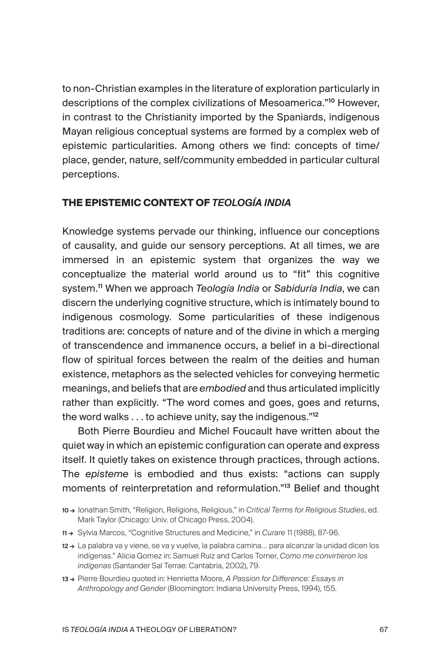to non-Christian examples in the literature of exploration particularly in descriptions of the complex civilizations of Mesoamerica."<sup>10</sup> However, in contrast to the Christianity imported by the Spaniards, indigenous Mayan religious conceptual systems are formed by a complex web of epistemic particularities. Among others we find: concepts of time/ place, gender, nature, self/community embedded in particular cultural perceptions.

#### **THE EPISTEMIC CONTEXT OF** *TEOLOGÍA INDIA*

Knowledge systems pervade our thinking, influence our conceptions of causality, and guide our sensory perceptions. At all times, we are immersed in an epistemic system that organizes the way we conceptualize the material world around us to "fit" this cognitive system.<sup>11</sup> When we approach *Teología India* or *Sabiduría India*, we can discern the underlying cognitive structure, which is intimately bound to indigenous cosmology. Some particularities of these indigenous traditions are: concepts of nature and of the divine in which a merging of transcendence and immanence occurs, a belief in a bi-directional flow of spiritual forces between the realm of the deities and human existence, metaphors as the selected vehicles for conveying hermetic meanings, and beliefs that are *embodied* and thus articulated implicitly rather than explicitly. "The word comes and goes, goes and returns, the word walks . . . to achieve unity, say the indigenous."<sup>12</sup>

Both Pierre Bourdieu and Michel Foucault have written about the quiet way in which an epistemic configuration can operate and express itself. It quietly takes on existence through practices, through actions. The *episteme* is embodied and thus exists: "actions can supply moments of reinterpretation and reformulation."<sup>13</sup> Belief and thought

11 → Sylvia Marcos, "Cognitive Structures and Medicine," in *Curare* 11 (1988), 87-96.

13 → Pierre Bourdieu quoted in: Henrietta Moore, *A Passion for Difference: Essays in Anthropology and Gender* (Bloomington: Indiana University Press, 1994), 155.

<sup>10 →</sup> Jonathan Smith, "Religion, Religions, Religious," in *Critical Terms for Religious Studies*, ed. Mark Taylor (Chicago: Univ. of Chicago Press, 2004).

<sup>12→</sup> La palabra va y viene, se va y vuelve, la palabra camina... para alcanzar la unidad dicen los indígenas." Alicia Gomez in: Samuel Ruiz and Carlos Torner, *Como me convirtieron los indígenas* (Santander Sal Terrae: Cantabria, 2002), 79.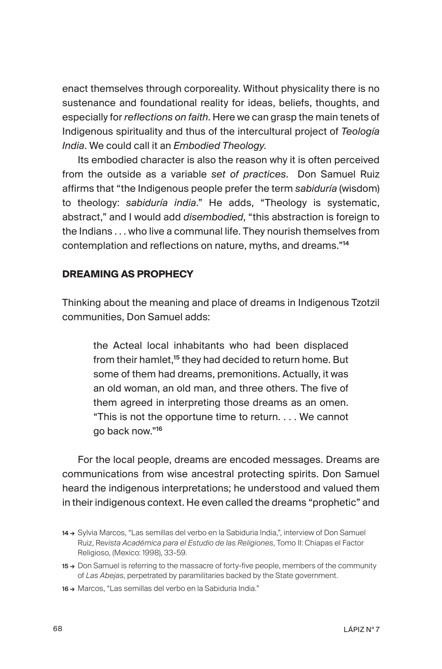enact themselves through corporeality. Without physicality there is no sustenance and foundational reality for ideas, beliefs, thoughts, and especially for *reflections on faith*. Here we can grasp the main tenets of Indigenous spirituality and thus of the intercultural project of *Teología India*. We could call it an *Embodied Theology*.

Its embodied character is also the reason why it is often perceived from the outside as a variable *set of practices*. Don Samuel Ruiz affirms that "the Indigenous people prefer the term *sabiduría* (wisdom) to theology: *sabiduría india*." He adds, "Theology is systematic, abstract," and I would add *disembodied*, "this abstraction is foreign to the Indians . . . who live a communal life. They nourish themselves from contemplation and reflections on nature, myths, and dreams."<sup>14</sup>

## **DREAMING AS PROPHECY**

Thinking about the meaning and place of dreams in Indigenous Tzotzil communities, Don Samuel adds:

the Acteal local inhabitants who had been displaced from their hamlet,<sup>15</sup> they had decided to return home. But some of them had dreams, premonitions. Actually, it was an old woman, an old man, and three others. The five of them agreed in interpreting those dreams as an omen. "This is not the opportune time to return. . . . We cannot go back now."<sup>16</sup>

For the local people, dreams are encoded messages. Dreams are communications from wise ancestral protecting spirits. Don Samuel heard the indigenous interpretations; he understood and valued them in their indigenous context. He even called the dreams "prophetic" and

<sup>14 →</sup> Sylvia Marcos, "Las semillas del verbo en la Sabiduria India,", interview of Don Samuel Ruiz, Re*vista Académica para el Estudio de las Religiones*, Tomo II: Chiapas el Factor Religioso, (Mexico: 1998), 33-59.

<sup>15 →</sup> Don Samuel is referring to the massacre of forty-five people, members of the community of *Las Abejas*, perpetrated by paramilitaries backed by the State government.

<sup>16 →</sup> Marcos, "Las semillas del verbo en la Sabiduria India."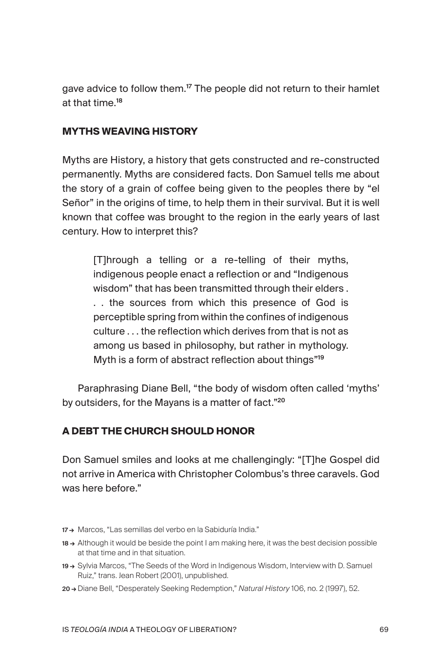gave advice to follow them.<sup>17</sup> The people did not return to their hamlet at that time.<sup>18</sup>

## **MYTHS WEAVING HISTORY**

Myths are History, a history that gets constructed and re-constructed permanently. Myths are considered facts. Don Samuel tells me about the story of a grain of coffee being given to the peoples there by "el Señor" in the origins of time, to help them in their survival. But it is well known that coffee was brought to the region in the early years of last century. How to interpret this?

[T]hrough a telling or a re-telling of their myths, indigenous people enact a reflection or and "Indigenous wisdom" that has been transmitted through their elders . . . the sources from which this presence of God is perceptible spring from within the confines of indigenous culture . . . the reflection which derives from that is not as among us based in philosophy, but rather in mythology. Myth is a form of abstract reflection about things"<sup>19</sup>

Paraphrasing Diane Bell, "the body of wisdom often called 'myths' by outsiders, for the Mayans is a matter of fact."<sup>20</sup>

## **A DEBT THE CHURCH SHOULD HONOR**

Don Samuel smiles and looks at me challengingly: "[T]he Gospel did not arrive in America with Christopher Colombus's three caravels. God was here before."

- 17→ Marcos, "Las semillas del verbo en la Sabiduría India."
- 18 → Although it would be beside the point I am making here, it was the best decision possible at that time and in that situation.
- 19 → Sylvia Marcos, "The Seeds of the Word in Indigenous Wisdom, Interview with D. Samuel Ruiz," trans. Jean Robert (2001), unpublished.
- 20 → Diane Bell, "Desperately Seeking Redemption," *Natural History* 106, no. 2 (1997), 52.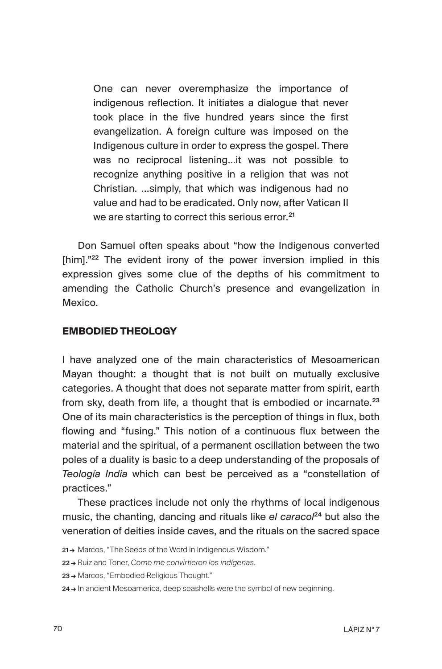One can never overemphasize the importance of indigenous reflection. It initiates a dialogue that never took place in the five hundred years since the first evangelization. A foreign culture was imposed on the Indigenous culture in order to express the gospel. There was no reciprocal listening…it was not possible to recognize anything positive in a religion that was not Christian. …simply, that which was indigenous had no value and had to be eradicated. Only now, after Vatican II we are starting to correct this serious error.<sup>21</sup>

Don Samuel often speaks about "how the Indigenous converted [him]."<sup>22</sup> The evident irony of the power inversion implied in this expression gives some clue of the depths of his commitment to amending the Catholic Church's presence and evangelization in Mexico.

#### **EMBODIED THEOLOGY**

I have analyzed one of the main characteristics of Mesoamerican Mayan thought: a thought that is not built on mutually exclusive categories. A thought that does not separate matter from spirit, earth from sky, death from life, a thought that is embodied or incarnate.<sup>23</sup> One of its main characteristics is the perception of things in flux, both flowing and "fusing." This notion of a continuous flux between the material and the spiritual, of a permanent oscillation between the two poles of a duality is basic to a deep understanding of the proposals of *Teología India* which can best be perceived as a "constellation of practices."

These practices include not only the rhythms of local indigenous music, the chanting, dancing and rituals like *el caracol<sup>24</sup>* but also the veneration of deities inside caves, and the rituals on the sacred space

22 → Ruiz and Toner, *Como me convirtieron los indígenas*.

23 → Marcos, "Embodied Religious Thought."

<sup>21→</sup> Marcos, "The Seeds of the Word in Indigenous Wisdom."

<sup>24 →</sup> In ancient Mesoamerica, deep seashells were the symbol of new beginning.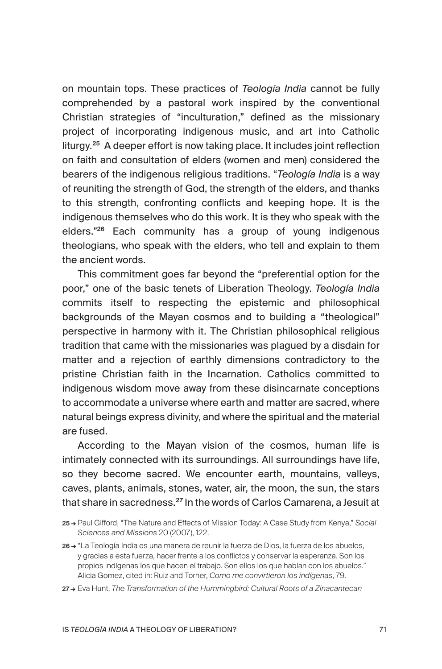on mountain tops. These practices of *Teología India* cannot be fully comprehended by a pastoral work inspired by the conventional Christian strategies of "inculturation," defined as the missionary project of incorporating indigenous music, and art into Catholic liturgy.<sup>25</sup> A deeper effort is now taking place. It includes joint reflection on faith and consultation of elders (women and men) considered the bearers of the indigenous religious traditions. "*Teología India* is a way of reuniting the strength of God, the strength of the elders, and thanks to this strength, confronting conflicts and keeping hope. It is the indigenous themselves who do this work. It is they who speak with the elders."<sup>26</sup> Each community has a group of young indigenous theologians, who speak with the elders, who tell and explain to them the ancient words.

This commitment goes far beyond the "preferential option for the poor," one of the basic tenets of Liberation Theology. *Teología India*  commits itself to respecting the epistemic and philosophical backgrounds of the Mayan cosmos and to building a "theological" perspective in harmony with it. The Christian philosophical religious tradition that came with the missionaries was plagued by a disdain for matter and a rejection of earthly dimensions contradictory to the pristine Christian faith in the Incarnation. Catholics committed to indigenous wisdom move away from these disincarnate conceptions to accommodate a universe where earth and matter are sacred, where natural beings express divinity, and where the spiritual and the material are fused.

According to the Mayan vision of the cosmos, human life is intimately connected with its surroundings. All surroundings have life, so they become sacred. We encounter earth, mountains, valleys, caves, plants, animals, stones, water, air, the moon, the sun, the stars that share in sacredness.<sup>27</sup> In the words of Carlos Camarena, a Jesuit at

<sup>25 →</sup> Paul Gifford, "The Nature and Effects of Mission Today: A Case Study from Kenya," *Social Sciences and Missions* 20 (2007), 122.

<sup>26 →</sup> "La Teología India es una manera de reunir la fuerza de Dios, la fuerza de los abuelos, y gracias a esta fuerza, hacer frente a los conflictos y conservar la esperanza. Son los propios indígenas los que hacen el trabajo. Son ellos los que hablan con los abuelos." Alicia Gomez, cited in: Ruiz and Torner, *Como me convirtieron los indígenas*, 79.

<sup>27 →</sup> Eva Hunt, *The Transformation of the Hummingbird: Cultural Roots of a Zinacantecan*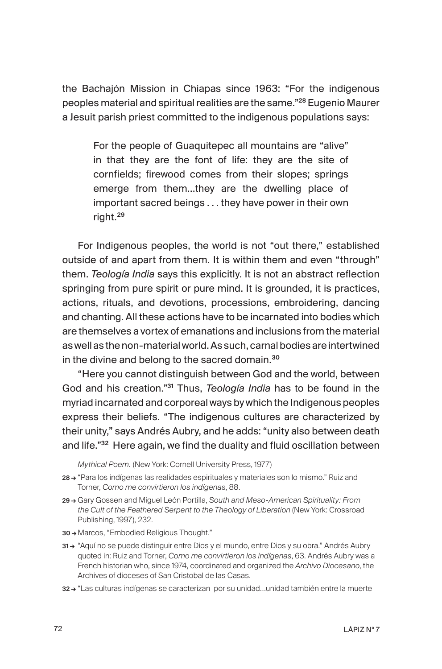the Bachajón Mission in Chiapas since 1963: "For the indigenous peoples material and spiritual realities are the same."<sup>28</sup> Eugenio Maurer a Jesuit parish priest committed to the indigenous populations says:

For the people of Guaquitepec all mountains are "alive" in that they are the font of life: they are the site of cornfields; firewood comes from their slopes; springs emerge from them…they are the dwelling place of important sacred beings . . . they have power in their own right.<sup>29</sup>

For Indigenous peoples, the world is not "out there," established outside of and apart from them. It is within them and even "through" them. *Teología India* says this explicitly. It is not an abstract reflection springing from pure spirit or pure mind. It is grounded, it is practices, actions, rituals, and devotions, processions, embroidering, dancing and chanting. All these actions have to be incarnated into bodies which are themselves a vortex of emanations and inclusions from the material as well as the non-material world. As such, carnal bodies are intertwined in the divine and belong to the sacred domain.<sup>30</sup>

"Here you cannot distinguish between God and the world, between God and his creation."<sup>31</sup> Thus, *Teología India* has to be found in the myriad incarnated and corporeal ways by which the Indigenous peoples express their beliefs. "The indigenous cultures are characterized by their unity," says Andrés Aubry, and he adds: "unity also between death and life."<sup>32</sup> Here again, we find the duality and fluid oscillation between

*Mythical Poem.* (New York: Cornell University Press, 1977)

- 28 → "Para los indígenas las realidades espirituales y materiales son lo mismo." Ruiz and Torner, *Como me convirtieron los indígenas*, 88.
- 29 → Gary Gossen and Miguel León Portilla, *South and Meso-American Spirituality: From the Cult of the Feathered Serpent to the Theology of Liberation* (New York: Crossroad Publishing, 1997), 232.
- 30 → Marcos, "Embodied Religious Thought."
- 31 → "Aquí no se puede distinguir entre Dios y el mundo, entre Dios y su obra." Andrés Aubry quoted in: Ruiz and Torner, *Como me convirtieron los indígenas*, 63. Andrés Aubry was a French historian who, since 1974, coordinated and organized the *Archivo Diocesano*, the Archives of dioceses of San Cristobal de las Casas.
- 32 → "Las culturas indígenas se caracterizan por su unidad…unidad también entre la muerte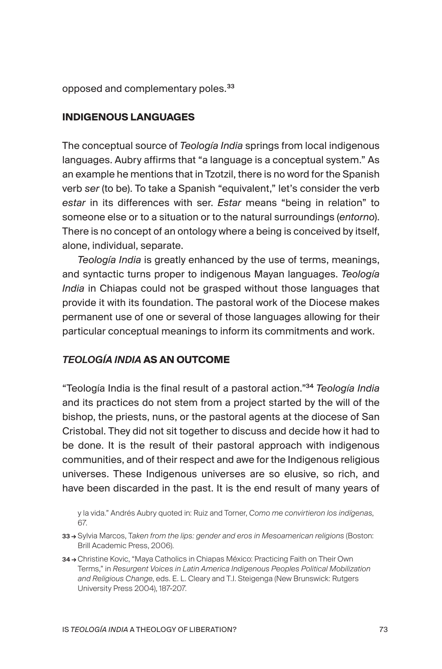opposed and complementary poles.<sup>33</sup>

## **INDIGENOUS LANGUAGES**

The conceptual source of *Teología India* springs from local indigenous languages. Aubry affirms that "a language is a conceptual system." As an example he mentions that in Tzotzil, there is no word for the Spanish verb *ser* (to be). To take a Spanish "equivalent," let's consider the verb *estar* in its differences with ser. *Estar* means "being in relation" to someone else or to a situation or to the natural surroundings (*entorno*). There is no concept of an ontology where a being is conceived by itself, alone, individual, separate.

*Teología India* is greatly enhanced by the use of terms, meanings, and syntactic turns proper to indigenous Mayan languages. *Teología India* in Chiapas could not be grasped without those languages that provide it with its foundation. The pastoral work of the Diocese makes permanent use of one or several of those languages allowing for their particular conceptual meanings to inform its commitments and work.

## *TEOLOGÍA INDIA* **AS AN OUTCOME**

"Teología India is the final result of a pastoral action."<sup>34</sup> *Teología India* and its practices do not stem from a project started by the will of the bishop, the priests, nuns, or the pastoral agents at the diocese of San Cristobal. They did not sit together to discuss and decide how it had to be done. It is the result of their pastoral approach with indigenous communities, and of their respect and awe for the Indigenous religious universes. These Indigenous universes are so elusive, so rich, and have been discarded in the past. It is the end result of many years of

34 → Christine Kovic, "Maya Catholics in Chiapas México: Practicing Faith on Their Own Terms," in *Resurgent Voices in Latin America Indigenous Peoples Political Mobilization and Religious Change*, eds. E. L. Cleary and T.J. Steigenga (New Brunswick: Rutgers University Press 2004), 187-207.

y la vida." Andrés Aubry quoted in: Ruiz and Torner, *Como me convirtieron los indígenas*, 67.

<sup>33 →</sup> Sylvia Marcos, Taken from the lips: gender and eros in Mesoamerican religions (Boston: Brill Academic Press, 2006).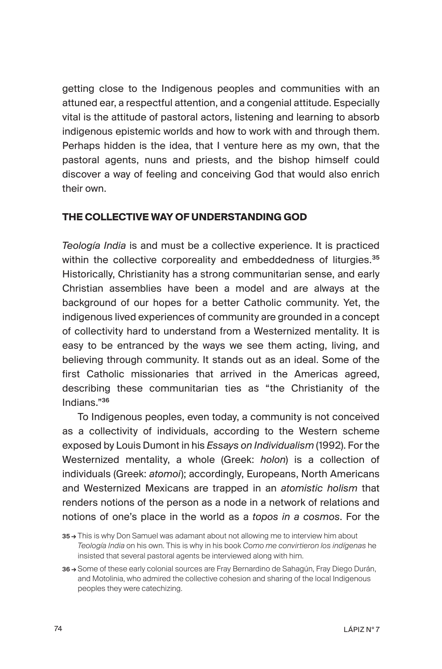getting close to the Indigenous peoples and communities with an attuned ear, a respectful attention, and a congenial attitude. Especially vital is the attitude of pastoral actors, listening and learning to absorb indigenous epistemic worlds and how to work with and through them. Perhaps hidden is the idea, that I venture here as my own, that the pastoral agents, nuns and priests, and the bishop himself could discover a way of feeling and conceiving God that would also enrich their own.

## **THE COLLECTIVE WAY OF UNDERSTANDING GOD**

*Teología India* is and must be a collective experience. It is practiced within the collective corporeality and embeddedness of liturgies.<sup>35</sup> Historically, Christianity has a strong communitarian sense, and early Christian assemblies have been a model and are always at the background of our hopes for a better Catholic community. Yet, the indigenous lived experiences of community are grounded in a concept of collectivity hard to understand from a Westernized mentality. It is easy to be entranced by the ways we see them acting, living, and believing through community. It stands out as an ideal. Some of the first Catholic missionaries that arrived in the Americas agreed, describing these communitarian ties as "the Christianity of the Indians."<sup>36</sup>

To Indigenous peoples, even today, a community is not conceived as a collectivity of individuals, according to the Western scheme exposed by Louis Dumont in his *Essays on Individualism* (1992). For the Westernized mentality, a whole (Greek: *holon*) is a collection of individuals (Greek: *atomoi*); accordingly, Europeans, North Americans and Westernized Mexicans are trapped in an *atomistic holism* that renders notions of the person as a node in a network of relations and notions of one's place in the world as a *topos in a cosmos*. For the

<sup>35 →</sup> This is why Don Samuel was adamant about not allowing me to interview him about *Teología India* on his own. This is why in his book *Como me convirtieron los indígenas* he insisted that several pastoral agents be interviewed along with him.

<sup>36 →</sup> Some of these early colonial sources are Fray Bernardino de Sahagún, Fray Diego Durán, and Motolinia, who admired the collective cohesion and sharing of the local Indigenous peoples they were catechizing.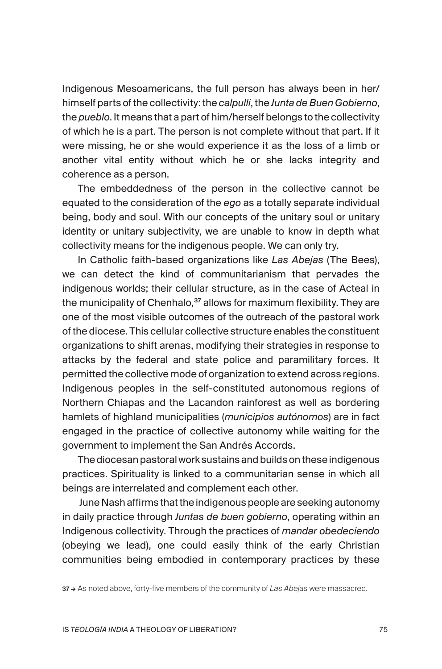Indigenous Mesoamericans, the full person has always been in her/ himself parts of the collectivity: the *calpulli*, the *Junta de Buen Gobierno*, the *pueblo*. It means that a part of him/herself belongs to the collectivity of which he is a part. The person is not complete without that part. If it were missing, he or she would experience it as the loss of a limb or another vital entity without which he or she lacks integrity and coherence as a person.

The embeddedness of the person in the collective cannot be equated to the consideration of the *ego* as a totally separate individual being, body and soul. With our concepts of the unitary soul or unitary identity or unitary subjectivity, we are unable to know in depth what collectivity means for the indigenous people. We can only try.

In Catholic faith-based organizations like *Las Abejas* (The Bees), we can detect the kind of communitarianism that pervades the indigenous worlds; their cellular structure, as in the case of Acteal in the municipality of Chenhalo,<sup>37</sup> allows for maximum flexibility. They are one of the most visible outcomes of the outreach of the pastoral work of the diocese. This cellular collective structure enables the constituent organizations to shift arenas, modifying their strategies in response to attacks by the federal and state police and paramilitary forces. It permitted the collective mode of organization to extend across regions. Indigenous peoples in the self-constituted autonomous regions of Northern Chiapas and the Lacandon rainforest as well as bordering hamlets of highland municipalities (*municipios autónomos*) are in fact engaged in the practice of collective autonomy while waiting for the government to implement the San Andrés Accords.

The diocesan pastoral work sustains and builds on these indigenous practices. Spirituality is linked to a communitarian sense in which all beings are interrelated and complement each other.

 June Nash affirms that the indigenous people are seeking autonomy in daily practice through *Juntas de buen gobierno*, operating within an Indigenous collectivity. Through the practices of *mandar obedeciendo*  (obeying we lead), one could easily think of the early Christian communities being embodied in contemporary practices by these

37 → As noted above, forty-five members of the community of *Las Abejas* were massacred.